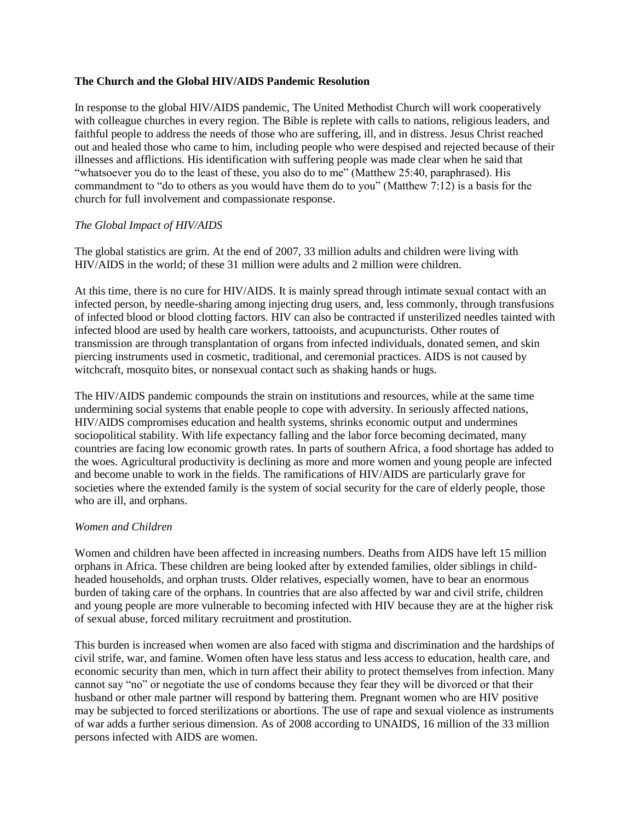## **The Church and the Global HIV/AIDS Pandemic Resolution**

In response to the global HIV/AIDS pandemic, The United Methodist Church will work cooperatively with colleague churches in every region. The Bible is replete with calls to nations, religious leaders, and faithful people to address the needs of those who are suffering, ill, and in distress. Jesus Christ reached out and healed those who came to him, including people who were despised and rejected because of their illnesses and afflictions. His identification with suffering people was made clear when he said that "whatsoever you do to the least of these, you also do to me" (Matthew 25:40, paraphrased). His commandment to "do to others as you would have them do to you" (Matthew 7:12) is a basis for the church for full involvement and compassionate response.

## *The Global Impact of HIV/AIDS*

The global statistics are grim. At the end of 2007, 33 million adults and children were living with HIV/AIDS in the world; of these 31 million were adults and 2 million were children.

At this time, there is no cure for HIV/AIDS. It is mainly spread through intimate sexual contact with an infected person, by needle-sharing among injecting drug users, and, less commonly, through transfusions of infected blood or blood clotting factors. HIV can also be contracted if unsterilized needles tainted with infected blood are used by health care workers, tattooists, and acupuncturists. Other routes of transmission are through transplantation of organs from infected individuals, donated semen, and skin piercing instruments used in cosmetic, traditional, and ceremonial practices. AIDS is not caused by witchcraft, mosquito bites, or nonsexual contact such as shaking hands or hugs.

The HIV/AIDS pandemic compounds the strain on institutions and resources, while at the same time undermining social systems that enable people to cope with adversity. In seriously affected nations, HIV/AIDS compromises education and health systems, shrinks economic output and undermines sociopolitical stability. With life expectancy falling and the labor force becoming decimated, many countries are facing low economic growth rates. In parts of southern Africa, a food shortage has added to the woes. Agricultural productivity is declining as more and more women and young people are infected and become unable to work in the fields. The ramifications of HIV/AIDS are particularly grave for societies where the extended family is the system of social security for the care of elderly people, those who are ill, and orphans.

#### *Women and Children*

Women and children have been affected in increasing numbers. Deaths from AIDS have left 15 million orphans in Africa. These children are being looked after by extended families, older siblings in childheaded households, and orphan trusts. Older relatives, especially women, have to bear an enormous burden of taking care of the orphans. In countries that are also affected by war and civil strife, children and young people are more vulnerable to becoming infected with HIV because they are at the higher risk of sexual abuse, forced military recruitment and prostitution.

This burden is increased when women are also faced with stigma and discrimination and the hardships of civil strife, war, and famine. Women often have less status and less access to education, health care, and economic security than men, which in turn affect their ability to protect themselves from infection. Many cannot say "no" or negotiate the use of condoms because they fear they will be divorced or that their husband or other male partner will respond by battering them. Pregnant women who are HIV positive may be subjected to forced sterilizations or abortions. The use of rape and sexual violence as instruments of war adds a further serious dimension. As of 2008 according to UNAIDS, 16 million of the 33 million persons infected with AIDS are women.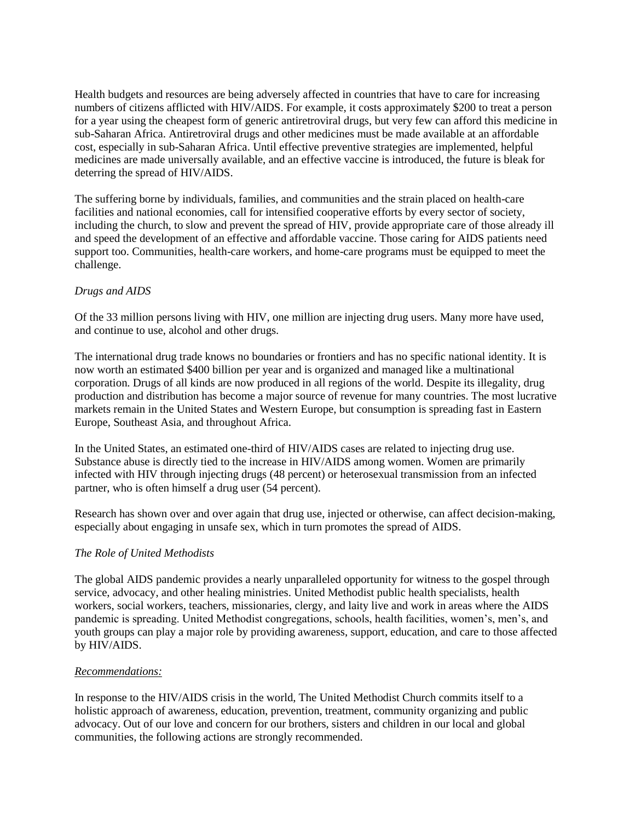Health budgets and resources are being adversely affected in countries that have to care for increasing numbers of citizens afflicted with HIV/AIDS. For example, it costs approximately \$200 to treat a person for a year using the cheapest form of generic antiretroviral drugs, but very few can afford this medicine in sub-Saharan Africa. Antiretroviral drugs and other medicines must be made available at an affordable cost, especially in sub-Saharan Africa. Until effective preventive strategies are implemented, helpful medicines are made universally available, and an effective vaccine is introduced, the future is bleak for deterring the spread of HIV/AIDS.

The suffering borne by individuals, families, and communities and the strain placed on health-care facilities and national economies, call for intensified cooperative efforts by every sector of society, including the church, to slow and prevent the spread of HIV, provide appropriate care of those already ill and speed the development of an effective and affordable vaccine. Those caring for AIDS patients need support too. Communities, health-care workers, and home-care programs must be equipped to meet the challenge.

# *Drugs and AIDS*

Of the 33 million persons living with HIV, one million are injecting drug users. Many more have used, and continue to use, alcohol and other drugs.

The international drug trade knows no boundaries or frontiers and has no specific national identity. It is now worth an estimated \$400 billion per year and is organized and managed like a multinational corporation. Drugs of all kinds are now produced in all regions of the world. Despite its illegality, drug production and distribution has become a major source of revenue for many countries. The most lucrative markets remain in the United States and Western Europe, but consumption is spreading fast in Eastern Europe, Southeast Asia, and throughout Africa.

In the United States, an estimated one-third of HIV/AIDS cases are related to injecting drug use. Substance abuse is directly tied to the increase in HIV/AIDS among women. Women are primarily infected with HIV through injecting drugs (48 percent) or heterosexual transmission from an infected partner, who is often himself a drug user (54 percent).

Research has shown over and over again that drug use, injected or otherwise, can affect decision-making, especially about engaging in unsafe sex, which in turn promotes the spread of AIDS.

# *The Role of United Methodists*

The global AIDS pandemic provides a nearly unparalleled opportunity for witness to the gospel through service, advocacy, and other healing ministries. United Methodist public health specialists, health workers, social workers, teachers, missionaries, clergy, and laity live and work in areas where the AIDS pandemic is spreading. United Methodist congregations, schools, health facilities, women's, men's, and youth groups can play a major role by providing awareness, support, education, and care to those affected by HIV/AIDS.

# *Recommendations:*

In response to the HIV/AIDS crisis in the world, The United Methodist Church commits itself to a holistic approach of awareness, education, prevention, treatment, community organizing and public advocacy. Out of our love and concern for our brothers, sisters and children in our local and global communities, the following actions are strongly recommended.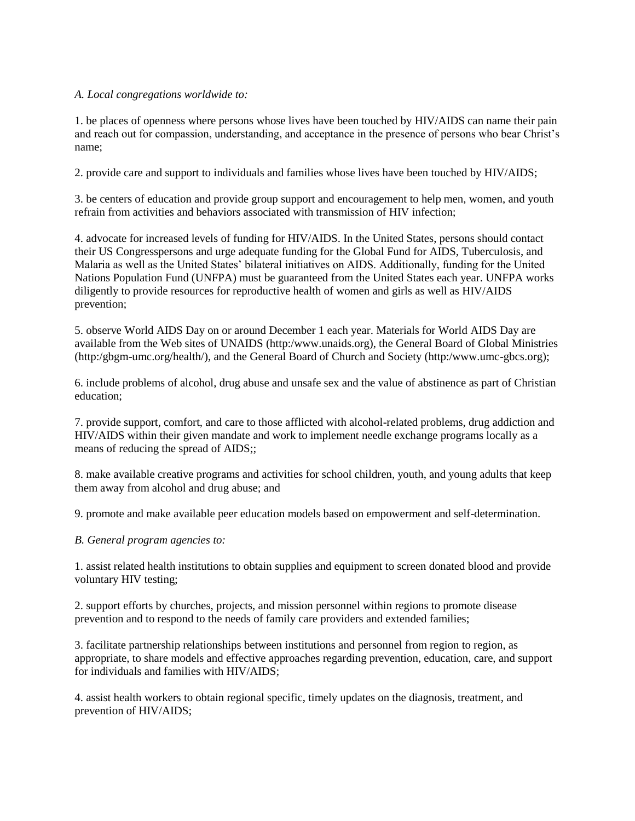# *A. Local congregations worldwide to:*

1. be places of openness where persons whose lives have been touched by HIV/AIDS can name their pain and reach out for compassion, understanding, and acceptance in the presence of persons who bear Christ's name;

2. provide care and support to individuals and families whose lives have been touched by HIV/AIDS;

3. be centers of education and provide group support and encouragement to help men, women, and youth refrain from activities and behaviors associated with transmission of HIV infection;

4. advocate for increased levels of funding for HIV/AIDS. In the United States, persons should contact their US Congresspersons and urge adequate funding for the Global Fund for AIDS, Tuberculosis, and Malaria as well as the United States' bilateral initiatives on AIDS. Additionally, funding for the United Nations Population Fund (UNFPA) must be guaranteed from the United States each year. UNFPA works diligently to provide resources for reproductive health of women and girls as well as HIV/AIDS prevention;

5. observe World AIDS Day on or around December 1 each year. Materials for World AIDS Day are available from the Web sites of UNAIDS (http:/www.unaids.org), the General Board of Global Ministries (http:/gbgm-umc.org/health/), and the General Board of Church and Society (http:/www.umc-gbcs.org);

6. include problems of alcohol, drug abuse and unsafe sex and the value of abstinence as part of Christian education;

7. provide support, comfort, and care to those afflicted with alcohol-related problems, drug addiction and HIV/AIDS within their given mandate and work to implement needle exchange programs locally as a means of reducing the spread of AIDS;;

8. make available creative programs and activities for school children, youth, and young adults that keep them away from alcohol and drug abuse; and

9. promote and make available peer education models based on empowerment and self-determination.

# *B. General program agencies to:*

1. assist related health institutions to obtain supplies and equipment to screen donated blood and provide voluntary HIV testing;

2. support efforts by churches, projects, and mission personnel within regions to promote disease prevention and to respond to the needs of family care providers and extended families;

3. facilitate partnership relationships between institutions and personnel from region to region, as appropriate, to share models and effective approaches regarding prevention, education, care, and support for individuals and families with HIV/AIDS;

4. assist health workers to obtain regional specific, timely updates on the diagnosis, treatment, and prevention of HIV/AIDS;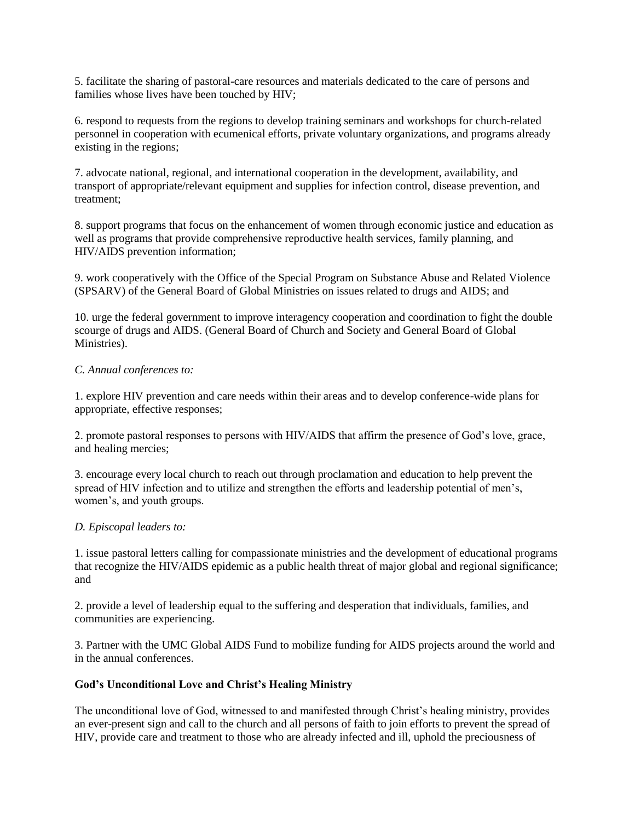5. facilitate the sharing of pastoral-care resources and materials dedicated to the care of persons and families whose lives have been touched by HIV;

6. respond to requests from the regions to develop training seminars and workshops for church-related personnel in cooperation with ecumenical efforts, private voluntary organizations, and programs already existing in the regions;

7. advocate national, regional, and international cooperation in the development, availability, and transport of appropriate/relevant equipment and supplies for infection control, disease prevention, and treatment;

8. support programs that focus on the enhancement of women through economic justice and education as well as programs that provide comprehensive reproductive health services, family planning, and HIV/AIDS prevention information;

9. work cooperatively with the Office of the Special Program on Substance Abuse and Related Violence (SPSARV) of the General Board of Global Ministries on issues related to drugs and AIDS; and

10. urge the federal government to improve interagency cooperation and coordination to fight the double scourge of drugs and AIDS. (General Board of Church and Society and General Board of Global Ministries).

# *C. Annual conferences to:*

1. explore HIV prevention and care needs within their areas and to develop conference-wide plans for appropriate, effective responses;

2. promote pastoral responses to persons with HIV/AIDS that affirm the presence of God's love, grace, and healing mercies;

3. encourage every local church to reach out through proclamation and education to help prevent the spread of HIV infection and to utilize and strengthen the efforts and leadership potential of men's, women's, and youth groups.

# *D. Episcopal leaders to:*

1. issue pastoral letters calling for compassionate ministries and the development of educational programs that recognize the HIV/AIDS epidemic as a public health threat of major global and regional significance; and

2. provide a level of leadership equal to the suffering and desperation that individuals, families, and communities are experiencing.

3. Partner with the UMC Global AIDS Fund to mobilize funding for AIDS projects around the world and in the annual conferences.

# **God's Unconditional Love and Christ's Healing Ministry**

The unconditional love of God, witnessed to and manifested through Christ's healing ministry, provides an ever-present sign and call to the church and all persons of faith to join efforts to prevent the spread of HIV, provide care and treatment to those who are already infected and ill, uphold the preciousness of